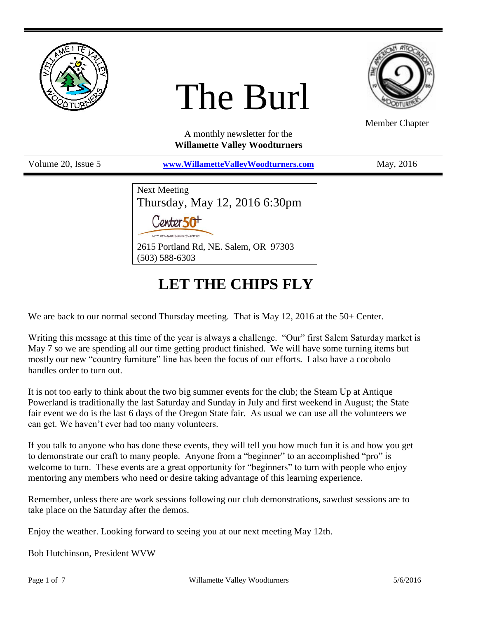

# The Burl



Member Chapter

A monthly newsletter for the **Willamette Valley Woodturners**

Volume 20, Issue 5 **[www.WillametteValleyWoodturners.com](http://www.willamettevalleywoodturners.com/)** May, 2016

| <b>Next Meeting</b>                   |
|---------------------------------------|
| Thursday, May 12, 2016 6:30pm         |
| Center 50 <sup>+</sup>                |
| CITY OF SALEM SENIOR CENTER           |
| 2615 Portland Rd, NE. Salem, OR 97303 |
| $(503) 588 - 6303$                    |

# **LET THE CHIPS FLY**

We are back to our normal second Thursday meeting. That is May 12, 2016 at the 50+ Center.

Writing this message at this time of the year is always a challenge. "Our" first Salem Saturday market is May 7 so we are spending all our time getting product finished. We will have some turning items but mostly our new "country furniture" line has been the focus of our efforts. I also have a cocobolo handles order to turn out.

It is not too early to think about the two big summer events for the club; the Steam Up at Antique Powerland is traditionally the last Saturday and Sunday in July and first weekend in August; the State fair event we do is the last 6 days of the Oregon State fair. As usual we can use all the volunteers we can get. We haven't ever had too many volunteers.

If you talk to anyone who has done these events, they will tell you how much fun it is and how you get to demonstrate our craft to many people. Anyone from a "beginner" to an accomplished "pro" is welcome to turn. These events are a great opportunity for "beginners" to turn with people who enjoy mentoring any members who need or desire taking advantage of this learning experience.

Remember, unless there are work sessions following our club demonstrations, sawdust sessions are to take place on the Saturday after the demos.

Enjoy the weather. Looking forward to seeing you at our next meeting May 12th.

Bob Hutchinson, President WVW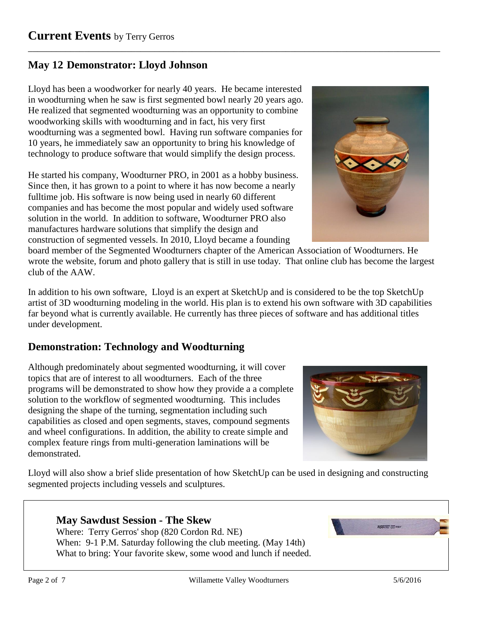## **May 12 Demonstrator: Lloyd Johnson**

Lloyd has been a woodworker for nearly 40 years. He became interested in woodturning when he saw is first segmented bowl nearly 20 years ago. He realized that segmented woodturning was an opportunity to combine woodworking skills with woodturning and in fact, his very first woodturning was a segmented bowl. Having run software companies for 10 years, he immediately saw an opportunity to bring his knowledge of technology to produce software that would simplify the design process.

He started his company, Woodturner PRO, in 2001 as a hobby business. Since then, it has grown to a point to where it has now become a nearly fulltime job. His software is now being used in nearly 60 different companies and has become the most popular and widely used software solution in the world. In addition to software, Woodturner PRO also manufactures hardware solutions that simplify the design and construction of segmented vessels. In 2010, Lloyd became a founding



board member of the Segmented Woodturners chapter of the American Association of Woodturners. He wrote the website, forum and photo gallery that is still in use today. That online club has become the largest club of the AAW.

\_\_\_\_\_\_\_\_\_\_\_\_\_\_\_\_\_\_\_\_\_\_\_\_\_\_\_\_\_\_\_\_\_\_\_\_\_\_\_\_\_\_\_\_\_\_\_\_\_\_\_\_\_\_\_\_\_\_\_\_\_\_\_\_\_\_\_\_\_\_\_\_\_\_\_\_\_\_\_\_\_\_\_\_\_\_\_\_

In addition to his own software, Lloyd is an expert at SketchUp and is considered to be the top SketchUp artist of 3D woodturning modeling in the world. His plan is to extend his own software with 3D capabilities far beyond what is currently available. He currently has three pieces of software and has additional titles under development.

## **Demonstration: Technology and Woodturning**

Although predominately about segmented woodturning, it will cover topics that are of interest to all woodturners. Each of the three programs will be demonstrated to show how they provide a a complete solution to the workflow of segmented woodturning. This includes designing the shape of the turning, segmentation including such capabilities as closed and open segments, staves, compound segments and wheel configurations. In addition, the ability to create simple and complex feature rings from multi-generation laminations will be demonstrated.



Lloyd will also show a brief slide presentation of how SketchUp can be used in designing and constructing segmented projects including vessels and sculptures.

#### **May Sawdust Session - The Skew**

Where: Terry Gerros' shop (820 Cordon Rd. NE) When: 9-1 P.M. Saturday following the club meeting. (May 14th) What to bring: Your favorite skew, some wood and lunch if needed.

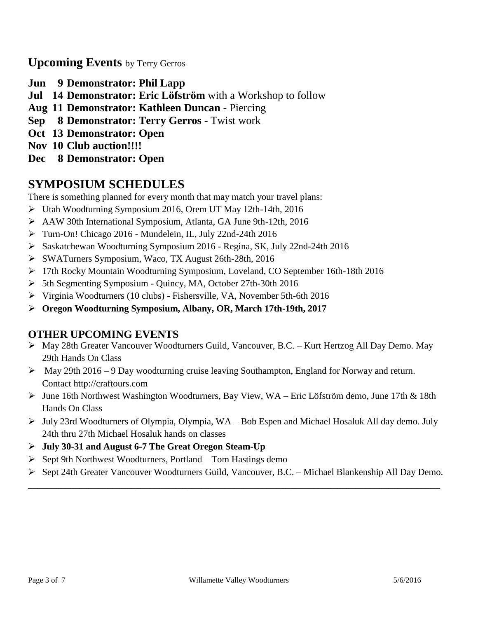**Upcoming Events** by Terry Gerros

- **Jun 9 Demonstrator: Phil Lapp**
- **Jul 14 Demonstrator: Eric Löfström** with a Workshop to follow
- **Aug 11 Demonstrator: Kathleen Duncan -** Piercing
- **Sep 8 Demonstrator: Terry Gerros -** Twist work
- **Oct 13 Demonstrator: Open**
- **Nov 10 Club auction!!!!**
- **Dec 8 Demonstrator: Open**

# **SYMPOSIUM SCHEDULES**

There is something planned for every month that may match your travel plans:

- Utah Woodturning Symposium 2016, Orem UT May 12th-14th, 2016
- AAW 30th International Symposium, Atlanta, GA June 9th-12th, 2016
- Turn-On! Chicago 2016 Mundelein, IL, July 22nd-24th 2016
- Saskatchewan Woodturning Symposium 2016 Regina, SK, July 22nd-24th 2016
- SWATurners Symposium, Waco, TX August 26th-28th, 2016
- 17th Rocky Mountain Woodturning Symposium, Loveland, CO September 16th-18th 2016
- 5th Segmenting Symposium Quincy, MA, October 27th-30th 2016
- Virginia Woodturners (10 clubs) Fishersville, VA, November 5th-6th 2016
- **Oregon Woodturning Symposium, Albany, OR, March 17th-19th, 2017**

## **OTHER UPCOMING EVENTS**

- May 28th Greater Vancouver Woodturners Guild, Vancouver, B.C. Kurt Hertzog All Day Demo. May 29th Hands On Class
- $\triangleright$  May 29th 2016 9 Day woodturning cruise leaving Southampton, England for Norway and return. Contact http://craftours.com
- $\triangleright$  June 16th Northwest Washington Woodturners, Bay View, WA Eric Löfström demo, June 17th & 18th Hands On Class
- July 23rd Woodturners of Olympia, Olympia, WA Bob Espen and Michael Hosaluk All day demo. July 24th thru 27th Michael Hosaluk hands on classes
- **July 30-31 and August 6-7 The Great Oregon Steam-Up**
- $\triangleright$  Sept 9th Northwest Woodturners, Portland Tom Hastings demo
- Sept 24th Greater Vancouver Woodturners Guild, Vancouver, B.C. Michael Blankenship All Day Demo. \_\_\_\_\_\_\_\_\_\_\_\_\_\_\_\_\_\_\_\_\_\_\_\_\_\_\_\_\_\_\_\_\_\_\_\_\_\_\_\_\_\_\_\_\_\_\_\_\_\_\_\_\_\_\_\_\_\_\_\_\_\_\_\_\_\_\_\_\_\_\_\_\_\_\_\_\_\_\_\_\_\_\_\_\_\_\_\_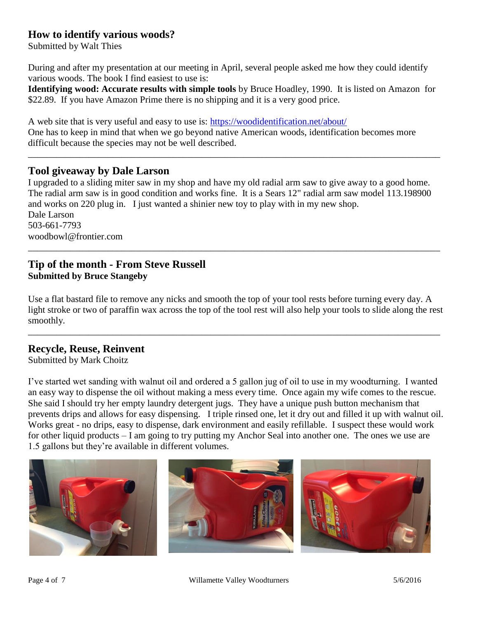#### **How to identify various woods?**

Submitted by Walt Thies

During and after my presentation at our meeting in April, several people asked me how they could identify various woods. The book I find easiest to use is:

**Identifying wood: Accurate results with simple tools** by Bruce Hoadley, 1990. It is listed on Amazon for \$22.89. If you have Amazon Prime there is no shipping and it is a very good price.

\_\_\_\_\_\_\_\_\_\_\_\_\_\_\_\_\_\_\_\_\_\_\_\_\_\_\_\_\_\_\_\_\_\_\_\_\_\_\_\_\_\_\_\_\_\_\_\_\_\_\_\_\_\_\_\_\_\_\_\_\_\_\_\_\_\_\_\_\_\_\_\_\_\_\_\_\_\_\_\_\_\_\_\_\_\_\_\_

A web site that is very useful and easy to use is:<https://woodidentification.net/about/> One has to keep in mind that when we go beyond native American woods, identification becomes more difficult because the species may not be well described.

#### **Tool giveaway by Dale Larson**

I upgraded to a sliding miter saw in my shop and have my old radial arm saw to give away to a good home. The radial arm saw is in good condition and works fine. It is a Sears 12" radial arm saw model 113.198900 and works on 220 plug in. I just wanted a shinier new toy to play with in my new shop. Dale Larson 503-661-7793 woodbowl@frontier.com

\_\_\_\_\_\_\_\_\_\_\_\_\_\_\_\_\_\_\_\_\_\_\_\_\_\_\_\_\_\_\_\_\_\_\_\_\_\_\_\_\_\_\_\_\_\_\_\_\_\_\_\_\_\_\_\_\_\_\_\_\_\_\_\_\_\_\_\_\_\_\_\_\_\_\_\_\_\_\_\_\_\_\_\_\_\_\_\_

#### **Tip of the month - From Steve Russell Submitted by Bruce Stangeby**

Use a flat bastard file to remove any nicks and smooth the top of your tool rests before turning every day. A light stroke or two of paraffin wax across the top of the tool rest will also help your tools to slide along the rest smoothly.

\_\_\_\_\_\_\_\_\_\_\_\_\_\_\_\_\_\_\_\_\_\_\_\_\_\_\_\_\_\_\_\_\_\_\_\_\_\_\_\_\_\_\_\_\_\_\_\_\_\_\_\_\_\_\_\_\_\_\_\_\_\_\_\_\_\_\_\_\_\_\_\_\_\_\_\_\_\_\_\_\_\_\_\_\_\_\_\_

#### **Recycle, Reuse, Reinvent**

Submitted by Mark Choitz

I've started wet sanding with walnut oil and ordered a 5 gallon jug of oil to use in my woodturning. I wanted an easy way to dispense the oil without making a mess every time. Once again my wife comes to the rescue. She said I should try her empty laundry detergent jugs. They have a unique push button mechanism that prevents drips and allows for easy dispensing. I triple rinsed one, let it dry out and filled it up with walnut oil. Works great - no drips, easy to dispense, dark environment and easily refillable. I suspect these would work for other liquid products – I am going to try putting my Anchor Seal into another one. The ones we use are 1.5 gallons but they're available in different volumes.

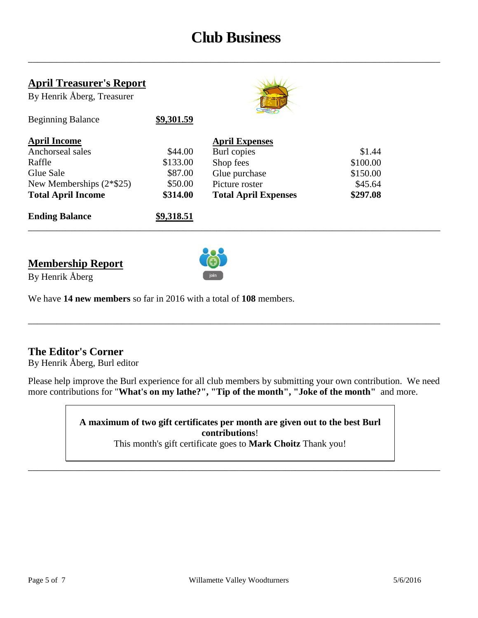# **Club Business**

\_\_\_\_\_\_\_\_\_\_\_\_\_\_\_\_\_\_\_\_\_\_\_\_\_\_\_\_\_\_\_\_\_\_\_\_\_\_\_\_\_\_\_\_\_\_\_\_\_\_\_\_\_\_\_\_\_\_\_\_\_\_\_\_\_\_\_\_\_\_\_\_\_\_\_\_\_\_\_\_\_\_\_\_\_\_\_\_

#### **April Treasurer's Report**

Beginning Balance **\$9,301.59**

By Henrik Åberg, Treasurer



| <b>Ending Balance</b>      | \$9,318.51 |                             |          |
|----------------------------|------------|-----------------------------|----------|
| <b>Total April Income</b>  | \$314.00   | <b>Total April Expenses</b> | \$297.08 |
| New Memberships $(2*\$25)$ | \$50.00    | Picture roster              | \$45.64  |
| Glue Sale                  | \$87.00    | Glue purchase               | \$150.00 |
| Raffle                     | \$133.00   | Shop fees                   | \$100.00 |
| Anchorseal sales           | \$44.00    | Burl copies                 | \$1.44   |
| <b>April Income</b>        |            | <b>April Expenses</b>       |          |

### **Membership Report**



\_\_\_\_\_\_\_\_\_\_\_\_\_\_\_\_\_\_\_\_\_\_\_\_\_\_\_\_\_\_\_\_\_\_\_\_\_\_\_\_\_\_\_\_\_\_\_\_\_\_\_\_\_\_\_\_\_\_\_\_\_\_\_\_\_\_\_\_\_\_\_\_\_\_\_\_\_\_\_\_\_\_\_\_\_\_\_\_

By Henrik Åberg

We have **14 new members** so far in 2016 with a total of **108** members.

#### **The Editor's Corner**

By Henrik Åberg, Burl editor

Please help improve the Burl experience for all club members by submitting your own contribution. We need more contributions for "**What's on my lathe?", "Tip of the month", "Joke of the month"** and more.

\_\_\_\_\_\_\_\_\_\_\_\_\_\_\_\_\_\_\_\_\_\_\_\_\_\_\_\_\_\_\_\_\_\_\_\_\_\_\_\_\_\_\_\_\_\_\_\_\_\_\_\_\_\_\_\_\_\_\_\_\_\_\_\_\_\_\_\_\_\_\_\_\_\_\_\_\_\_\_\_\_\_\_\_\_\_\_\_

**A maximum of two gift certificates per month are given out to the best Burl contributions**!

This month's gift certificate goes to **Mark Choitz** Thank you!

\_\_\_\_\_\_\_\_\_\_\_\_\_\_\_\_\_\_\_\_\_\_\_\_\_\_\_\_\_\_\_\_\_\_\_\_\_\_\_\_\_\_\_\_\_\_\_\_\_\_\_\_\_\_\_\_\_\_\_\_\_\_\_\_\_\_\_\_\_\_\_\_\_\_\_\_\_\_\_\_\_\_\_\_\_\_\_\_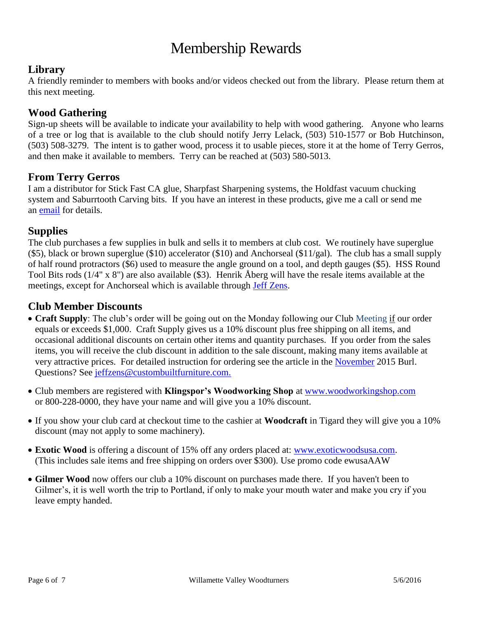# Membership Rewards

#### **Library**

A friendly reminder to members with books and/or videos checked out from the library. Please return them at this next meeting.

#### **Wood Gathering**

Sign-up sheets will be available to indicate your availability to help with wood gathering. Anyone who learns of a tree or log that is available to the club should notify Jerry Lelack, (503) 510-1577 or Bob Hutchinson, (503) 508-3279. The intent is to gather wood, process it to usable pieces, store it at the home of Terry Gerros, and then make it available to members. Terry can be reached at (503) 580-5013.

#### **From Terry Gerros**

I am a distributor for Stick Fast CA glue, Sharpfast Sharpening systems, the Holdfast vacuum chucking system and Saburrtooth Carving bits. If you have an interest in these products, give me a call or send me an [email](mailto:gerrost@yahoo.com) for details.

#### **Supplies**

The club purchases a few supplies in bulk and sells it to members at club cost. We routinely have superglue (\$5), black or brown superglue (\$10) accelerator (\$10) and Anchorseal (\$11/gal). The club has a small supply of half round protractors (\$6) used to measure the angle ground on a tool, and depth gauges (\$5). HSS Round Tool Bits rods (1/4" x 8") are also available (\$3). Henrik Åberg will have the resale items available at the meetings, except for Anchorseal which is available through [Jeff Zens.](mailto:jszens@custombuiltfurniture.com)

#### **Club Member Discounts**

- **Craft Supply**: The club's order will be going out on the Monday following our Club Meeting if our order equals or exceeds \$1,000. Craft Supply gives us a 10% discount plus free shipping on all items, and occasional additional discounts on certain other items and quantity purchases. If you order from the sales items, you will receive the club discount in addition to the sale discount, making many items available at very attractive prices. For detailed instruction for ordering see the article in the [November](http://www.willamettevalleywoodturners.com/newsletters/2015_11_WVW_Newsletter.pdf) 2015 Burl. Questions? See [jeffzens@custombuiltfurniture.com.](mailto:jeffzens@custombuiltfurniture.com.)
- Club members are registered with **Klingspor's Woodworking Shop** at [www.woodworkingshop.com](http://www.woodworkingshop.com/)  or 800-228-0000, they have your name and will give you a 10% discount.
- If you show your club card at checkout time to the cashier at **Woodcraft** in Tigard they will give you a 10% discount (may not apply to some machinery).
- **Exotic Wood** is offering a discount of 15% off any orders placed at: [www.exoticwoodsusa.com.](http://www.exoticwoodsusa.com/) (This includes sale items and free shipping on orders over \$300). Use promo code ewusaAAW
- **Gilmer Wood** now offers our club a 10% discount on purchases made there. If you haven't been to Gilmer's, it is well worth the trip to Portland, if only to make your mouth water and make you cry if you leave empty handed.